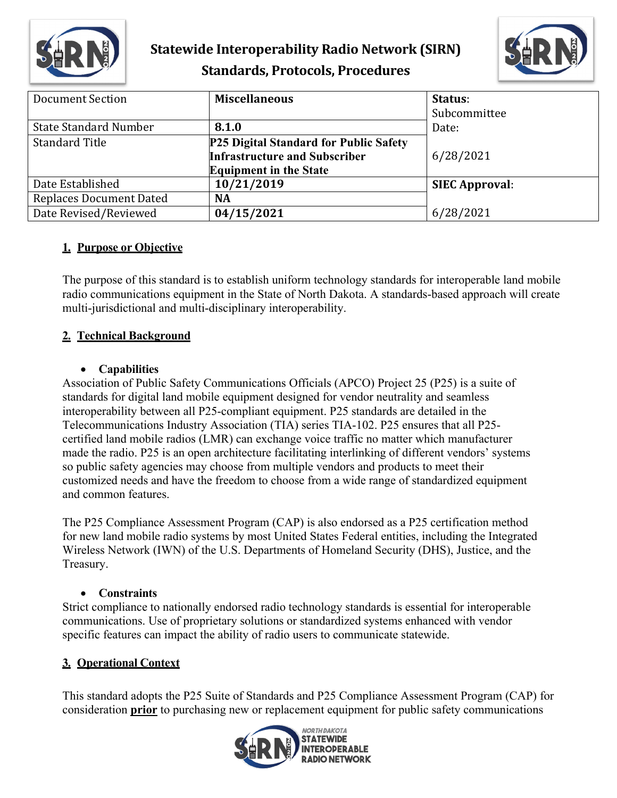

## **Statewide Interoperability Radio Network (SIRN) Standards, Protocols, Procedures**



| <b>Document Section</b>        | <b>Miscellaneous</b>                          | Status:               |
|--------------------------------|-----------------------------------------------|-----------------------|
|                                |                                               | Subcommittee          |
| <b>State Standard Number</b>   | 8.1.0                                         | Date:                 |
| <b>Standard Title</b>          | <b>P25 Digital Standard for Public Safety</b> |                       |
|                                | <b>Infrastructure and Subscriber</b>          | 6/28/2021             |
|                                | <b>Equipment in the State</b>                 |                       |
| Date Established               | 10/21/2019                                    | <b>SIEC Approval:</b> |
| <b>Replaces Document Dated</b> | <b>NA</b>                                     |                       |
| Date Revised/Reviewed          | 04/15/2021                                    | 6/28/2021             |

## **1. Purpose or Objective**

The purpose of this standard is to establish uniform technology standards for interoperable land mobile radio communications equipment in the State of North Dakota. A standards-based approach will create multi-jurisdictional and multi-disciplinary interoperability.

## **2. Technical Background**

#### • **Capabilities**

Association of Public Safety Communications Officials (APCO) Project 25 (P25) is a suite of standards for digital land mobile equipment designed for vendor neutrality and seamless interoperability between all P25-compliant equipment. P25 standards are detailed in the Telecommunications Industry Association (TIA) series TIA-102. P25 ensures that all P25 certified land mobile radios (LMR) can exchange voice traffic no matter which manufacturer made the radio. P25 is an open architecture facilitating interlinking of different vendors' systems so public safety agencies may choose from multiple vendors and products to meet their customized needs and have the freedom to choose from a wide range of standardized equipment and common features.

The P25 Compliance Assessment Program (CAP) is also endorsed as a P25 certification method for new land mobile radio systems by most United States Federal entities, including the Integrated Wireless Network (IWN) of the U.S. Departments of Homeland Security (DHS), Justice, and the Treasury.

## • **Constraints**

Strict compliance to nationally endorsed radio technology standards is essential for interoperable communications. Use of proprietary solutions or standardized systems enhanced with vendor specific features can impact the ability of radio users to communicate statewide.

## **3. Operational Context**

This standard adopts the P25 Suite of Standards and P25 Compliance Assessment Program (CAP) for consideration **prior** to purchasing new or replacement equipment for public safety communications

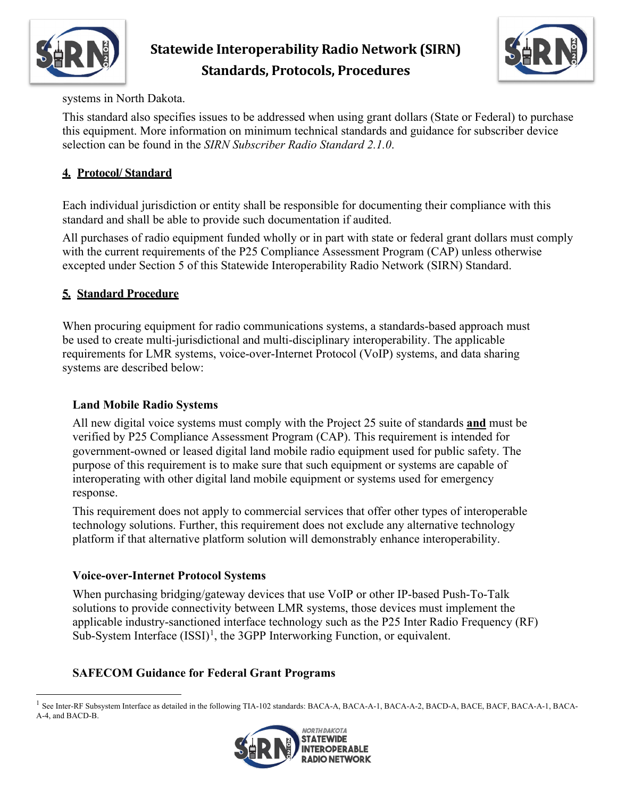

# **Statewide Interoperability Radio Network (SIRN) Standards, Protocols, Procedures**



systems in North Dakota.

This standard also specifies issues to be addressed when using grant dollars (State or Federal) to purchase this equipment. More information on minimum technical standards and guidance for subscriber device selection can be found in the *SIRN Subscriber Radio Standard 2.1.0*.

## **4. Protocol/ Standard**

Each individual jurisdiction or entity shall be responsible for documenting their compliance with this standard and shall be able to provide such documentation if audited.

All purchases of radio equipment funded wholly or in part with state or federal grant dollars must comply with the current requirements of the P25 Compliance Assessment Program (CAP) unless otherwise excepted under Section 5 of this Statewide Interoperability Radio Network (SIRN) Standard.

## **5. Standard Procedure**

When procuring equipment for radio communications systems, a standards-based approach must be used to create multi-jurisdictional and multi-disciplinary interoperability. The applicable requirements for LMR systems, voice-over-Internet Protocol (VoIP) systems, and data sharing systems are described below:

## **Land Mobile Radio Systems**

All new digital voice systems must comply with the Project 25 suite of standards **and** must be verified by P25 Compliance Assessment Program (CAP). This requirement is intended for government-owned or leased digital land mobile radio equipment used for public safety. The purpose of this requirement is to make sure that such equipment or systems are capable of interoperating with other digital land mobile equipment or systems used for emergency response.

This requirement does not apply to commercial services that offer other types of interoperable technology solutions. Further, this requirement does not exclude any alternative technology platform if that alternative platform solution will demonstrably enhance interoperability.

#### **Voice-over-Internet Protocol Systems**

When purchasing bridging/gateway devices that use VoIP or other IP-based Push-To-Talk solutions to provide connectivity between LMR systems, those devices must implement the applicable industry-sanctioned interface technology such as the P25 Inter Radio Frequency (RF) Sub-System Interface  $(ISSI)^1$  $(ISSI)^1$ , the 3GPP Interworking Function, or equivalent.

## **SAFECOM Guidance for Federal Grant Programs**

<span id="page-1-0"></span> $<sup>1</sup>$  See Inter-RF Subsystem Interface as detailed in the following TIA-102 standards: BACA-A, BACA-A-1, BACA-A-2, BACD-A, BACE, BACF, BACA-A-1, BACA-</sup> A-4, and BACD-B.